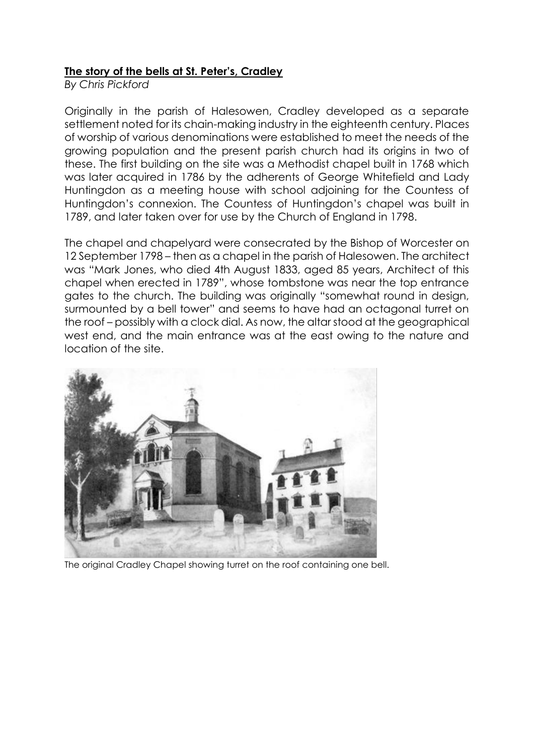# **The story of the bells at St. Peter's, Cradley**

*By Chris Pickford*

Originally in the parish of Halesowen, Cradley developed as a separate settlement noted for its chain-making industry in the eighteenth century. Places of worship of various denominations were established to meet the needs of the growing population and the present parish church had its origins in two of these. The first building on the site was a Methodist chapel built in 1768 which was later acquired in 1786 by the adherents of George Whitefield and Lady Huntingdon as a meeting house with school adjoining for the Countess of Huntingdon's connexion. The Countess of Huntingdon's chapel was built in 1789, and later taken over for use by the Church of England in 1798.

The chapel and chapelyard were consecrated by the Bishop of Worcester on 12 September 1798 – then as a chapel in the parish of Halesowen. The architect was "Mark Jones, who died 4th August 1833, aged 85 years, Architect of this chapel when erected in 1789", whose tombstone was near the top entrance gates to the church. The building was originally "somewhat round in design, surmounted by a bell tower" and seems to have had an octagonal turret on the roof – possibly with a clock dial. As now, the altar stood at the geographical west end, and the main entrance was at the east owing to the nature and location of the site.



The original Cradley Chapel showing turret on the roof containing one bell.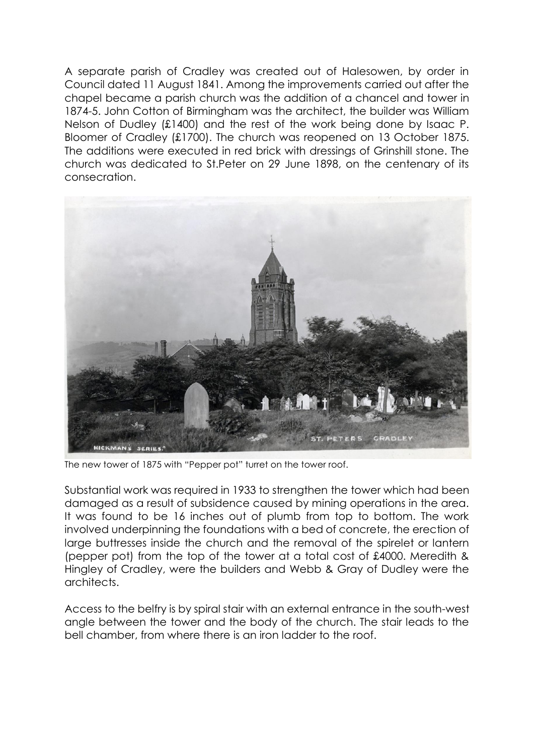A separate parish of Cradley was created out of Halesowen, by order in Council dated 11 August 1841. Among the improvements carried out after the chapel became a parish church was the addition of a chancel and tower in 1874-5. John Cotton of Birmingham was the architect, the builder was William Nelson of Dudley (£1400) and the rest of the work being done by Isaac P. Bloomer of Cradley (£1700). The church was reopened on 13 October 1875. The additions were executed in red brick with dressings of Grinshill stone. The church was dedicated to St.Peter on 29 June 1898, on the centenary of its consecration.



The new tower of 1875 with "Pepper pot" turret on the tower roof.

Substantial work was required in 1933 to strengthen the tower which had been damaged as a result of subsidence caused by mining operations in the area. It was found to be 16 inches out of plumb from top to bottom. The work involved underpinning the foundations with a bed of concrete, the erection of large buttresses inside the church and the removal of the spirelet or lantern (pepper pot) from the top of the tower at a total cost of £4000. Meredith & Hingley of Cradley, were the builders and Webb & Gray of Dudley were the architects.

Access to the belfry is by spiral stair with an external entrance in the south-west angle between the tower and the body of the church. The stair leads to the bell chamber, from where there is an iron ladder to the roof.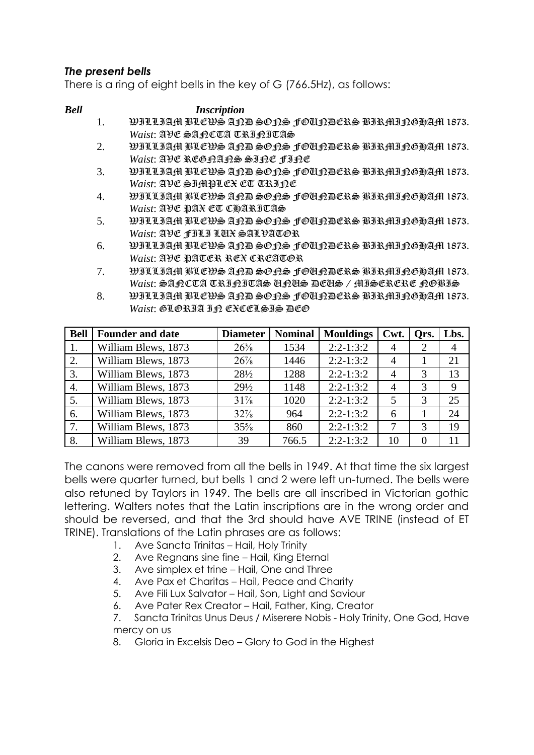# *The present bells*

There is a ring of eight bells in the key of G (766.5Hz), as follows:

### *Bell Inscription*

- 1. WILLIAM BLEWS AND SONS FOUNDERS BIRMINGHAM 1873. *Waist*: AVE SANCTA TRINITAS
- 2. WILLIAM BLEWS AND SONS FOUNDERS BIRMINGHAM 1873. *Waist*: AVE REGNANS SINE FINE
- 3. WILLIAM BLEWS AND SONS FOUNDERS BIRMINGHAM 1873. *Waist*: AVE SIMPLEX ET TRINE
- 4. WILLIAM BLEWS AND SONS FOUNDERS BIRMINGHAM 1873. *Waist*: AVE PAX ET CHARITAS
- 5. WILLIAM BLEWS AND SONS FOUNDERS BIRMINGHAM 1873. *Waist*: AVE FILI LUX SALVATOR
- 6. WILLIAM BLEWS AND SONS FOUNDERS BIRMINGHAM 1873. *Waist*: AVE PATER REX CREATOR
- 7. WILLIAM BLEWS AND SONS FOUNDERS BIRMINGHAM 1873. *Waist*: SANCTA TRINITAS UNUS DEUS / MISERERE NOBIS
- 8. WILLIAM BLEWS AND SONS FOUNDERS BIRMINGHAM 1873. *Waist*: GLORIA IP CXCCLSIS DCO

| <b>Bell</b> | <b>Founder and date</b> | <b>Diameter</b> | <b>Nominal</b> | <b>Mouldings</b> | Cwt.           | Qrs.     | Lbs. |
|-------------|-------------------------|-----------------|----------------|------------------|----------------|----------|------|
|             | William Blews, 1873     | $26\frac{3}{8}$ | 1534           | $2:2-1:3:2$      | 4              |          | 4    |
| 2.          | William Blews, 1873     | $26\%$          | 1446           | $2:2-1:3:2$      | $\overline{4}$ |          | 21   |
| 3.          | William Blews, 1873     | $28\frac{1}{2}$ | 1288           | $2:2-1:3:2$      | $\overline{4}$ | 3        | 13   |
| 4.          | William Blews, 1873     | $29\frac{1}{2}$ | 1148           | $2:2-1:3:2$      | 4              | 3        | 9    |
| 5.          | William Blews, 1873     | $31\%$          | 1020           | $2:2-1:3:2$      | 5              | 3        | 25   |
| 6.          | William Blews, 1873     | $32\%$          | 964            | $2:2-1:3:2$      | 6              |          | 24   |
| 7.          | William Blews, 1873     | $35\frac{5}{8}$ | 860            | $2:2-1:3:2$      | 7              | 3        | 19   |
| 8.          | William Blews, 1873     | 39              | 766.5          | $2:2-1:3:2$      | 10             | $\Omega$ | 11   |

The canons were removed from all the bells in 1949. At that time the six largest bells were quarter turned, but bells 1 and 2 were left un-turned. The bells were also retuned by Taylors in 1949. The bells are all inscribed in Victorian gothic lettering. Walters notes that the Latin inscriptions are in the wrong order and should be reversed, and that the 3rd should have AVE TRINE (instead of ET TRINE). Translations of the Latin phrases are as follows:

- 1. Ave Sancta Trinitas Hail, Holy Trinity
- 2. Ave Regnans sine fine Hail, King Eternal
- 3. Ave simplex et trine Hail, One and Three
- 4. Ave Pax et Charitas Hail, Peace and Charity
- 5. Ave Fili Lux Salvator Hail, Son, Light and Saviour
- 6. Ave Pater Rex Creator Hail, Father, King, Creator

7. Sancta Trinitas Unus Deus / Miserere Nobis - Holy Trinity, One God, Have mercy on us

8. Gloria in Excelsis Deo – Glory to God in the Highest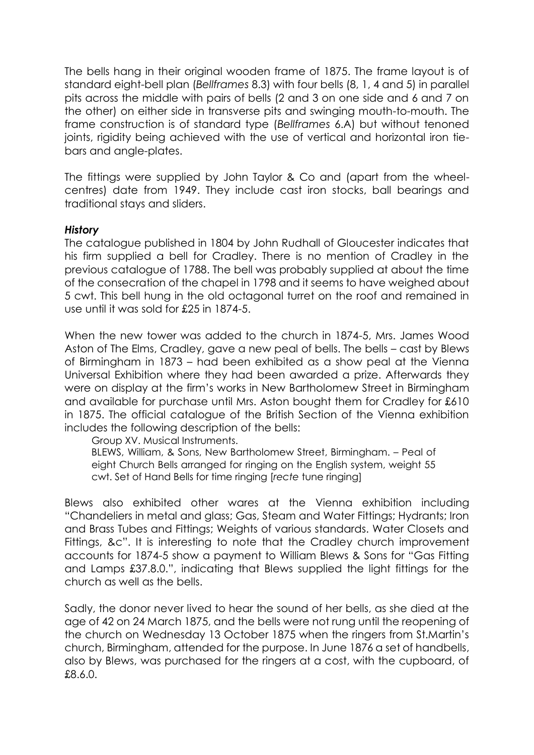The bells hang in their original wooden frame of 1875. The frame layout is of standard eight-bell plan (*Bellframes* 8.3) with four bells (8, 1, 4 and 5) in parallel pits across the middle with pairs of bells (2 and 3 on one side and 6 and 7 on the other) on either side in transverse pits and swinging mouth-to-mouth. The frame construction is of standard type (*Bellframes* 6.A) but without tenoned joints, rigidity being achieved with the use of vertical and horizontal iron tiebars and angle-plates.

The fittings were supplied by John Taylor & Co and (apart from the wheelcentres) date from 1949. They include cast iron stocks, ball bearings and traditional stays and sliders.

# *History*

The catalogue published in 1804 by John Rudhall of Gloucester indicates that his firm supplied a bell for Cradley. There is no mention of Cradley in the previous catalogue of 1788. The bell was probably supplied at about the time of the consecration of the chapel in 1798 and it seems to have weighed about 5 cwt. This bell hung in the old octagonal turret on the roof and remained in use until it was sold for £25 in 1874-5.

When the new tower was added to the church in 1874-5, Mrs. James Wood Aston of The Elms, Cradley, gave a new peal of bells. The bells – cast by Blews of Birmingham in 1873 – had been exhibited as a show peal at the Vienna Universal Exhibition where they had been awarded a prize. Afterwards they were on display at the firm's works in New Bartholomew Street in Birmingham and available for purchase until Mrs. Aston bought them for Cradley for £610 in 1875. The official catalogue of the British Section of the Vienna exhibition includes the following description of the bells:

Group XV. Musical Instruments.

BLEWS, William, & Sons, New Bartholomew Street, Birmingham. – Peal of eight Church Bells arranged for ringing on the English system, weight 55 cwt. Set of Hand Bells for time ringing [*recte* tune ringing]

Blews also exhibited other wares at the Vienna exhibition including "Chandeliers in metal and glass; Gas, Steam and Water Fittings; Hydrants; Iron and Brass Tubes and Fittings; Weights of various standards. Water Closets and Fittings, &c". It is interesting to note that the Cradley church improvement accounts for 1874-5 show a payment to William Blews & Sons for "Gas Fitting and Lamps £37.8.0.", indicating that Blews supplied the light fittings for the church as well as the bells.

Sadly, the donor never lived to hear the sound of her bells, as she died at the age of 42 on 24 March 1875, and the bells were not rung until the reopening of the church on Wednesday 13 October 1875 when the ringers from St.Martin's church, Birmingham, attended for the purpose. In June 1876 a set of handbells, also by Blews, was purchased for the ringers at a cost, with the cupboard, of £8.6.0.